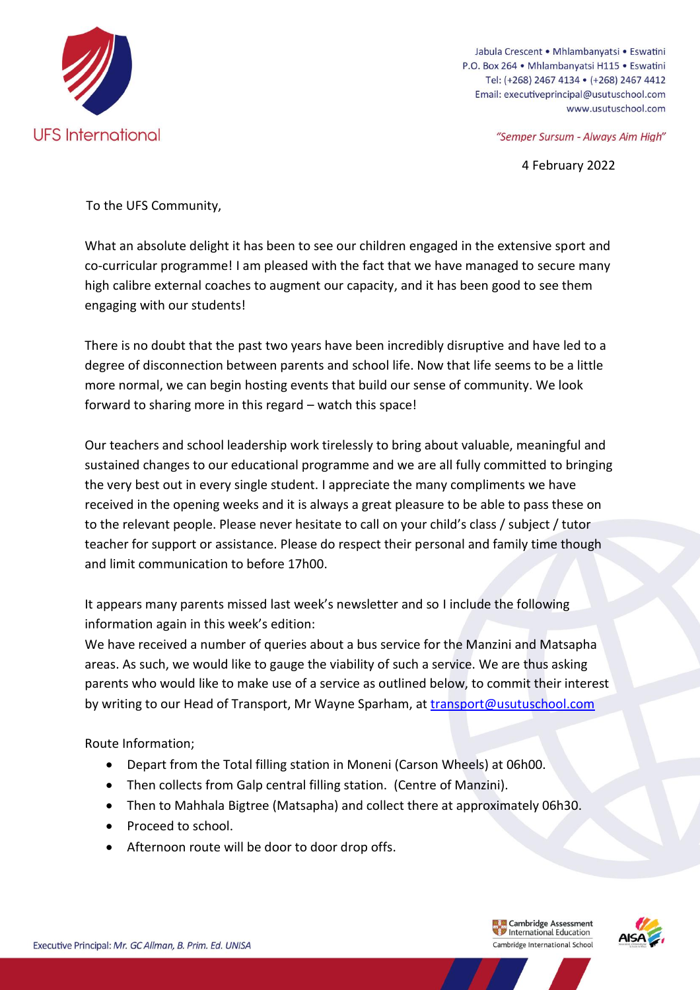

Jabula Crescent • Mhlambanyatsi • Eswatini P.O. Box 264 · Mhlambanyatsi H115 · Eswatini Tel: (+268) 2467 4134 • (+268) 2467 4412 Email: executiveprincipal@usutuschool.com www.usutuschool.com

"Semper Sursum - Always Aim High"

4 February 2022

To the UFS Community,

What an absolute delight it has been to see our children engaged in the extensive sport and co-curricular programme! I am pleased with the fact that we have managed to secure many high calibre external coaches to augment our capacity, and it has been good to see them engaging with our students!

There is no doubt that the past two years have been incredibly disruptive and have led to a degree of disconnection between parents and school life. Now that life seems to be a little more normal, we can begin hosting events that build our sense of community. We look forward to sharing more in this regard – watch this space!

Our teachers and school leadership work tirelessly to bring about valuable, meaningful and sustained changes to our educational programme and we are all fully committed to bringing the very best out in every single student. I appreciate the many compliments we have received in the opening weeks and it is always a great pleasure to be able to pass these on to the relevant people. Please never hesitate to call on your child's class / subject / tutor teacher for support or assistance. Please do respect their personal and family time though and limit communication to before 17h00.

It appears many parents missed last week's newsletter and so I include the following information again in this week's edition:

We have received a number of queries about a bus service for the Manzini and Matsapha areas. As such, we would like to gauge the viability of such a service. We are thus asking parents who would like to make use of a service as outlined below, to commit their interest by writing to our Head of Transport, Mr Wayne Sparham, at [transport@usutuschool.com](mailto:transport@usutuschool.com)

Route Information;

- Depart from the Total filling station in Moneni (Carson Wheels) at 06h00.
- Then collects from Galp central filling station. (Centre of Manzini).
- Then to Mahhala Bigtree (Matsapha) and collect there at approximately 06h30.
- Proceed to school.
- Afternoon route will be door to door drop offs.

**Example 2** Cambridge Assessment<br> **Cambridge International Education** Cambridge Assessment Cambridge International School